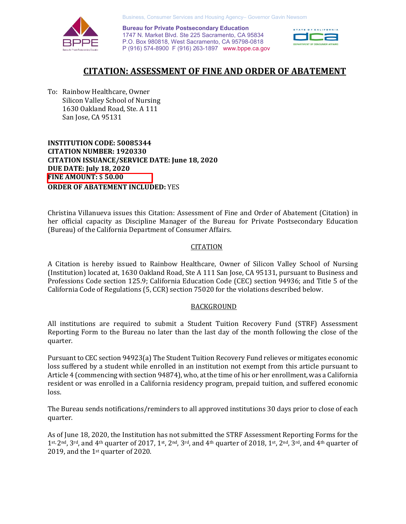

 **Bureau for Private Postsecondary Education** 1747 N. Market Blvd. Ste 225 Sacramento, CA 95834 P.O. Box 980818, West Sacramento, CA 95798-0818 P (916) 574-8900 F (916) 263-1897 [www.bppe.ca.gov](http://www.bppe.ca.gov) 



# **CITATION: ASSESSMENT OF FINE AND ORDER OF ABATEMENT**

To: Rainbow Healthcare, Owner Silicon Valley School of Nursing 1630 Oakland Road, Ste. A 111 San Jose, CA 95131

**INSTITUTION CODE: 50085344 CITATION NUMBER: 1920330 CITATION ISSUANCE/SERVICE DATE: June 18, 2020 DUE DATE: July 18, 2020 FINE AMOUNT:** \$ **50.00 ORDER OF ABATEMENT INCLUDED:** YES

Christina Villanueva issues this Citation: Assessment of Fine and Order of Abatement (Citation) in her official capacity as Discipline Manager of the Bureau for Private Postsecondary Education (Bureau) of the California Department of Consumer Affairs.

### **CITATION**

A Citation is hereby issued to Rainbow Healthcare, Owner of Silicon Valley School of Nursing (Institution) located at, 1630 Oakland Road, Ste A 111 San Jose, CA 95131, pursuant to Business and Professions Code section 125.9; California Education Code (CEC) section 94936; and Title 5 of the California Code of Regulations (5, CCR) section 75020 for the violations described below.

### BACKGROUND

All institutions are required to submit a Student Tuition Recovery Fund (STRF) Assessment Reporting Form to the Bureau no later than the last day of the month following the close of the quarter.

Pursuant to CEC section 94923(a) The Student Tuition Recovery Fund relieves or mitigates economic loss suffered by a student while enrolled in an institution not exempt from this article pursuant to Article 4 (commencing with section 94874), who, at the time of his or her enrollment, was a California resident or was enrolled in a California residency program, prepaid tuition, and suffered economic loss.

The Bureau sends notifications/reminders to all approved institutions 30 days prior to close of each quarter.

As of June 18, 2020, the Institution has not submitted the STRF Assessment Reporting Forms for the 1st, 2nd, 3rd, and 4th quarter of 2017, 1st, 2nd, 3rd, and 4th quarter of 2018, 1st, 2nd, 3rd, and 4th quarter of 2019, and the 1st quarter of 2020.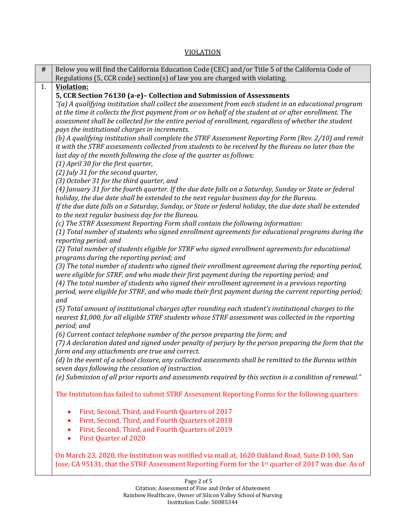# VIOLATION

| #  | Below you will find the California Education Code (CEC) and/or Title 5 of the California Code of                                                                                                 |
|----|--------------------------------------------------------------------------------------------------------------------------------------------------------------------------------------------------|
|    | Regulations (5, CCR code) section(s) of law you are charged with violating.                                                                                                                      |
| 1. | <b>Violation:</b><br>5, CCR Section 76130 (a-e)- Collection and Submission of Assessments                                                                                                        |
|    | (a) A qualifying institution shall collect the assessment from each student in an educational program"                                                                                           |
|    | at the time it collects the first payment from or on behalf of the student at or after enrollment. The                                                                                           |
|    | assessment shall be collected for the entire period of enrollment, regardless of whether the student                                                                                             |
|    | pays the institutional charges in increments.                                                                                                                                                    |
|    | (b) A qualifying institution shall complete the STRF Assessment Reporting Form (Rev. 2/10) and remit                                                                                             |
|    | it with the STRF assessments collected from students to be received by the Bureau no later than the                                                                                              |
|    | last day of the month following the close of the quarter as follows:                                                                                                                             |
|    | (1) April 30 for the first quarter,                                                                                                                                                              |
|    | (2) July 31 for the second quarter,                                                                                                                                                              |
|    | (3) October 31 for the third quarter, and<br>(4) January 31 for the fourth quarter. If the due date falls on a Saturday, Sunday or State or federal                                              |
|    | holiday, the due date shall be extended to the next regular business day for the Bureau.                                                                                                         |
|    | If the due date falls on a Saturday, Sunday, or State or federal holiday, the due date shall be extended                                                                                         |
|    | to the next regular business day for the Bureau.                                                                                                                                                 |
|    | (c) The STRF Assessment Reporting Form shall contain the following information:                                                                                                                  |
|    | (1) Total number of students who signed enrollment agreements for educational programs during the                                                                                                |
|    | reporting period; and                                                                                                                                                                            |
|    | (2) Total number of students eligible for STRF who signed enrollment agreements for educational                                                                                                  |
|    | programs during the reporting period; and                                                                                                                                                        |
|    | (3) The total number of students who signed their enrollment agreement during the reporting period,<br>were eligible for STRF, and who made their first payment during the reporting period; and |
|    | (4) The total number of students who signed their enrollment agreement in a previous reporting                                                                                                   |
|    | period, were eligible for STRF, and who made their first payment during the current reporting period;                                                                                            |
|    | and                                                                                                                                                                                              |
|    | (5) Total amount of institutional charges after rounding each student's institutional charges to the                                                                                             |
|    | nearest \$1,000, for all eligible STRF students whose STRF assessment was collected in the reporting                                                                                             |
|    | period; and                                                                                                                                                                                      |
|    | (6) Current contact telephone number of the person preparing the form; and                                                                                                                       |
|    | (7) A declaration dated and signed under penalty of perjury by the person preparing the form that the<br>form and any attachments are true and correct.                                          |
|    | (d) In the event of a school closure, any collected assessments shall be remitted to the Bureau within                                                                                           |
|    | seven days following the cessation of instruction.                                                                                                                                               |
|    | (e) Submission of all prior reports and assessments required by this section is a condition of renewal."                                                                                         |
|    |                                                                                                                                                                                                  |
|    | The Institution has failed to submit STRF Assessment Reporting Forms for the following quarters:                                                                                                 |
|    |                                                                                                                                                                                                  |
|    | First, Second, Third, and Fourth Quarters of 2017                                                                                                                                                |
|    | First, Second, Third, and Fourth Quarters of 2018                                                                                                                                                |
|    | First, Second, Third, and Fourth Quarters of 2019<br>٠                                                                                                                                           |
|    | <b>First Quarter of 2020</b>                                                                                                                                                                     |
|    | On March 23, 2020, the Institution was notified via mail at, 1620 Oakland Road, Suite D 100, San                                                                                                 |
|    | Jose, CA 95131, that the STRF Assessment Reporting Form for the 1 <sup>st</sup> quarter of 2017 was due. As of                                                                                   |
|    |                                                                                                                                                                                                  |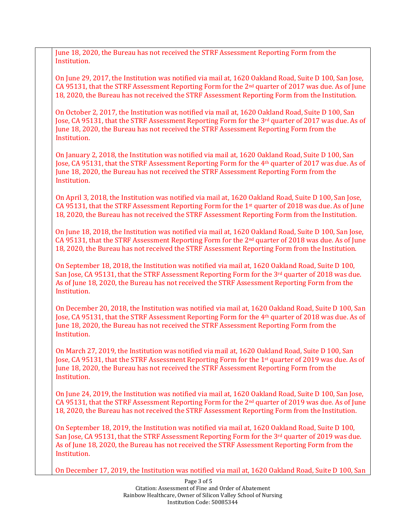June 18, 2020, the Bureau has not received the STRF Assessment Reporting Form from the Institution.

On June 29, 2017, the Institution was notified via mail at, 1620 Oakland Road, Suite D 100, San Jose, CA 95131, that the STRF Assessment Reporting Form for the 2nd quarter of 2017 was due. As of June 18, 2020, the Bureau has not received the STRF Assessment Reporting Form from the Institution.

On October 2, 2017, the Institution was notified via mail at, 1620 Oakland Road, Suite D 100, San Jose, CA 95131, that the STRF Assessment Reporting Form for the 3rd quarter of 2017 was due. As of June 18, 2020, the Bureau has not received the STRF Assessment Reporting Form from the Institution.

On January 2, 2018, the Institution was notified via mail at, 1620 Oakland Road, Suite D 100, San Jose, CA 95131, that the STRF Assessment Reporting Form for the 4th quarter of 2017 was due. As of June 18, 2020, the Bureau has not received the STRF Assessment Reporting Form from the Institution.

On April 3, 2018, the Institution was notified via mail at, 1620 Oakland Road, Suite D 100, San Jose, CA 95131, that the STRF Assessment Reporting Form for the 1st quarter of 2018 was due. As of June 18, 2020, the Bureau has not received the STRF Assessment Reporting Form from the Institution.

On June 18, 2018, the Institution was notified via mail at, 1620 Oakland Road, Suite D 100, San Jose, CA 95131, that the STRF Assessment Reporting Form for the 2nd quarter of 2018 was due. As of June 18, 2020, the Bureau has not received the STRF Assessment Reporting Form from the Institution.

On September 18, 2018, the Institution was notified via mail at, 1620 Oakland Road, Suite D 100, San Jose, CA 95131, that the STRF Assessment Reporting Form for the 3<sup>rd</sup> quarter of 2018 was due. As of June 18, 2020, the Bureau has not received the STRF Assessment Reporting Form from the Institution.

On December 20, 2018, the Institution was notified via mail at, 1620 Oakland Road, Suite D 100, San Jose, CA 95131, that the STRF Assessment Reporting Form for the 4th quarter of 2018 was due. As of June 18, 2020, the Bureau has not received the STRF Assessment Reporting Form from the Institution.

On March 27, 2019, the Institution was notified via mail at, 1620 Oakland Road, Suite D 100, San Jose, CA 95131, that the STRF Assessment Reporting Form for the 1st quarter of 2019 was due. As of June 18, 2020, the Bureau has not received the STRF Assessment Reporting Form from the Institution.

On June 24, 2019, the Institution was notified via mail at, 1620 Oakland Road, Suite D 100, San Jose, CA 95131, that the STRF Assessment Reporting Form for the 2nd quarter of 2019 was due. As of June 18, 2020, the Bureau has not received the STRF Assessment Reporting Form from the Institution.

On September 18, 2019, the Institution was notified via mail at, 1620 Oakland Road, Suite D 100, San Jose, CA 95131, that the STRF Assessment Reporting Form for the 3<sup>rd</sup> quarter of 2019 was due. As of June 18, 2020, the Bureau has not received the STRF Assessment Reporting Form from the Institution.

On December 17, 2019, the Institution was notified via mail at, 1620 Oakland Road, Suite D 100, San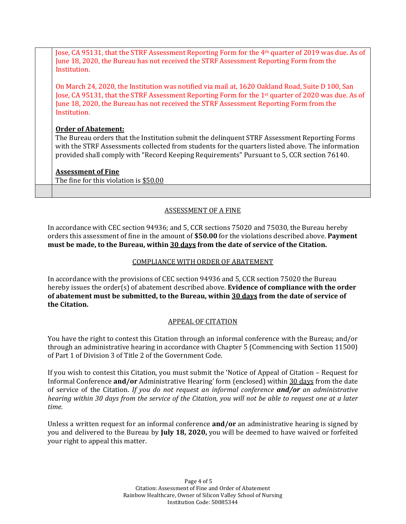Jose, CA 95131, that the STRF Assessment Reporting Form for the 4th quarter of 2019 was due. As of June 18, 2020, the Bureau has not received the STRF Assessment Reporting Form from the Institution.

On March 24, 2020, the Institution was notified via mail at, 1620 Oakland Road, Suite D 100, San Jose, CA 95131, that the STRF Assessment Reporting Form for the 1st quarter of 2020 was due. As of June 18, 2020, the Bureau has not received the STRF Assessment Reporting Form from the Institution.

## **Order of Abatement:**

The Bureau orders that the Institution submit the delinquent STRF Assessment Reporting Forms with the STRF Assessments collected from students for the quarters listed above. The information provided shall comply with "Record Keeping Requirements" Pursuant to 5, CCR section 76140.

# **Assessment of Fine**

The fine for this violation is \$50.00

# ASSESSMENT OF A FINE

In accordance with CEC section 94936; and 5, CCR sections 75020 and 75030, the Bureau hereby orders this assessment of fine in the amount of **\$50.00** for the violations described above. **Payment must be made, to the Bureau, within 30 days from the date of service of the Citation.**

## COMPLIANCE WITH ORDER OF ABATEMENT

In accordance with the provisions of CEC section 94936 and 5, CCR section 75020 the Bureau hereby issues the order(s) of abatement described above. **Evidence of compliance with the order of abatement must be submitted, to the Bureau, within 30 days from the date of service of the Citation.**

### APPEAL OF CITATION

You have the right to contest this Citation through an informal conference with the Bureau; and/or through an administrative hearing in accordance with Chapter 5 (Commencing with Section 11500) of Part 1 of Division 3 of Title 2 of the Government Code.

If you wish to contest this Citation, you must submit the 'Notice of Appeal of Citation – Request for Informal Conference **and/or** Administrative Hearing' form (enclosed) within 30 days from the date of service of the Citation. *If you do not request an informal conference and/or an administrative hearing within 30 days from the service of the Citation, you will not be able to request one at a later time.* 

Unless a written request for an informal conference **and/or** an administrative hearing is signed by you and delivered to the Bureau by **July 18, 2020,** you will be deemed to have waived or forfeited your right to appeal this matter.